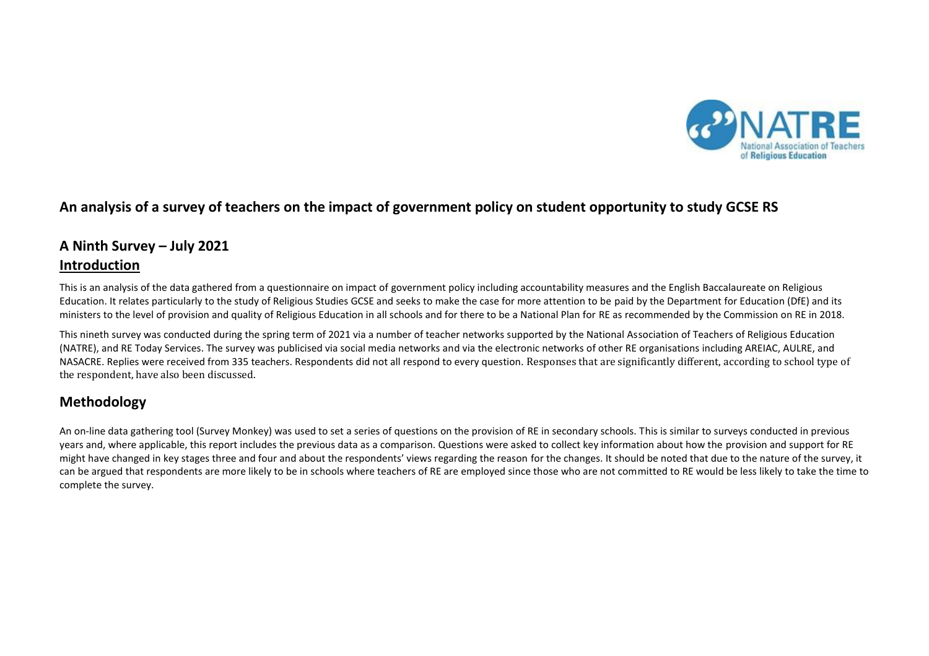

# **An analysis of a survey of teachers on the impact of government policy on student opportunity to study GCSE RS**

# **A Ninth Survey – July 2021 Introduction**

This is an analysis of the data gathered from a questionnaire on impact of government policy including accountability measures and the English Baccalaureate on Religious Education. It relates particularly to the study of Religious Studies GCSE and seeks to make the case for more attention to be paid by the Department for Education (DfE) and its ministers to the level of provision and quality of Religious Education in all schools and for there to be a National Plan for RE as recommended by the Commission on RE in 2018.

This nineth survey was conducted during the spring term of 2021 via a number of teacher networks supported by the National Association of Teachers of Religious Education (NATRE), and RE Today Services. The survey was publicised via social media networks and via the electronic networks of other RE organisations including AREIAC, AULRE, and NASACRE. Replies were received from 335 teachers. Respondents did not all respond to every question. Responses that are significantly different, according to school type of the respondent, have also been discussed.

# **Methodology**

An on-line data gathering tool (Survey Monkey) was used to set a series of questions on the provision of RE in secondary schools. This is similar to surveys conducted in previous years and, where applicable, this report includes the previous data as a comparison. Questions were asked to collect key information about how the provision and support for RE might have changed in key stages three and four and about the respondents' views regarding the reason for the changes. It should be noted that due to the nature of the survey, it can be argued that respondents are more likely to be in schools where teachers of RE are employed since those who are not committed to RE would be less likely to take the time to complete the survey.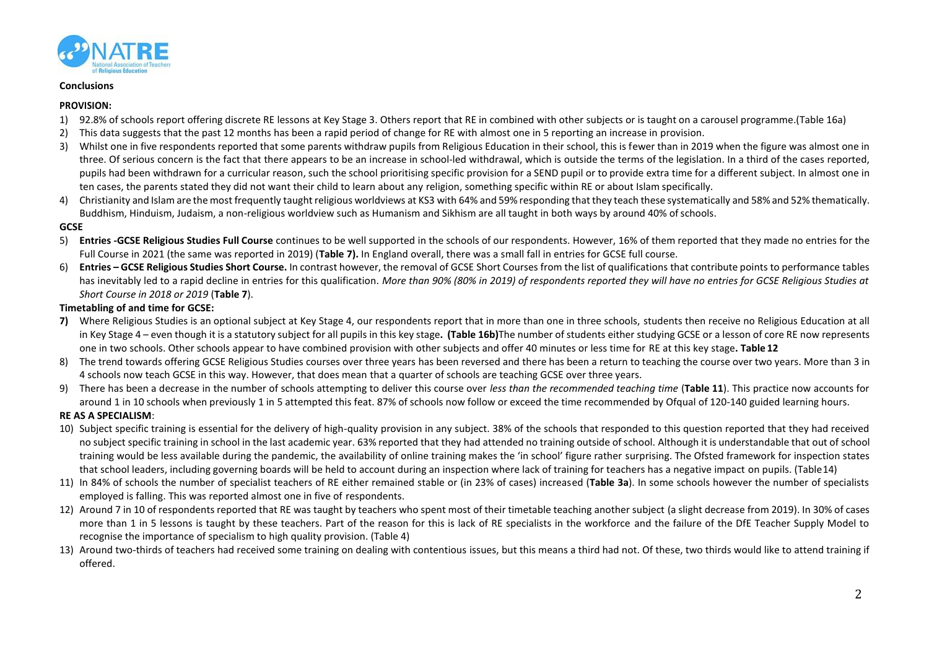

#### **Conclusions**

#### **PROVISION:**

- 1) 92.8% of schools report offering discrete RE lessons at Key Stage 3. Others report that RE in combined with other subjects or is taught on a carousel programme.(Table 16a)
- 2) This data suggests that the past 12 months has been a rapid period of change for RE with almost one in 5 reporting an increase in provision.
- 3) Whilst one in five respondents reported that some parents withdraw pupils from Religious Education in their school, this is fewer than in 2019 when the figure was almost one in three. Of serious concern is the fact that there appears to be an increase in school-led withdrawal, which is outside the terms of the legislation. In a third of the cases reported, pupils had been withdrawn for a curricular reason, such the school prioritising specific provision for a SEND pupil or to provide extra time for a different subject. In almost one in ten cases, the parents stated they did not want their child to learn about any religion, something specific within RE or about Islam specifically.
- 4) Christianity and Islam are the most frequently taught religious worldviews at KS3 with 64% and 59% responding that they teach these systematically and 58% and 52% thematically. Buddhism, Hinduism, Judaism, a non-religious worldview such as Humanism and Sikhism are all taught in both ways by around 40% ofschools.

#### **GCSE**

- 5) **Entries -GCSE Religious Studies Full Course** continues to be well supported in the schools of our respondents. However, 16% of them reported that they made no entries for the Full Course in 2021 (the same was reported in 2019) (**Table 7).** In England overall, there was a small fall in entries for GCSE full course.
- 6) Entries GCSE Religious Studies Short Course. In contrast however, the removal of GCSE Short Courses from the list of qualifications that contribute points to performance tables has inevitably led to a rapid decline in entries for this qualification. *More than 90% (80% in 2019) of respondents reported they will have no entries for GCSE Religious Studies at Short Course in 2018 or 2019* (**Table 7**).

#### **Timetabling of and time for GCSE:**

- **7)** Where Religious Studies is an optional subject at Key Stage 4, our respondents report that in more than one in three schools, students then receive no Religious Education at all in Key Stage 4 – even though it is a statutory subject for all pupils in this key stage**. (Table 16b)**The number of students either studying GCSE or a lesson of core RE now represents one in two schools. Other schools appear to have combined provision with other subjects and offer 40 minutes or less time for RE at this key stage**. Table 12**
- 8) The trend towards offering GCSE Religious Studies courses over three years has been reversed and there has been a return to teaching the course over two years. More than 3 in 4 schools now teach GCSE in this way. However, that does mean that a quarter of schools are teaching GCSE over three years.
- 9) There has been a decrease in the number of schools attempting to deliver this course over *less than the recommended teaching time* (**Table 11**). This practice now accounts for around 1 in 10 schools when previously 1 in 5 attempted this feat. 87% of schools now follow or exceed the time recommended by Ofqual of 120-140 guided learning hours.

#### **RE AS A SPECIALISM**:

- 10) Subject specific training is essential for the delivery of high-quality provision in any subject. 38% of the schools that responded to this question reported that they had received no subject specific training in school in the last academic year. 63% reported that they had attended no training outside ofschool. Although it is understandable that out of school training would be less available during the pandemic, the availability of online training makes the 'in school' figure rather surprising. The Ofsted framework for inspection states that school leaders, including governing boards will be held to account during an inspection where lack of training for teachers has a negative impact on pupils. (Table14)
- 11) In 84% of schools the number of specialist teachers of RE either remained stable or (in 23% of cases) increased (**Table 3a**). In some schools however the number of specialists employed is falling. This was reported almost one in five of respondents.
- 12) Around 7 in 10 of respondents reported that RE was taught by teachers who spent most of their timetable teaching another subject (a slight decrease from 2019). In 30% of cases more than 1 in 5 lessons is taught by these teachers. Part of the reason for this is lack of RE specialists in the workforce and the failure of the DfE Teacher Supply Model to recognise the importance of specialism to high quality provision. (Table 4)
- 13) Around two-thirds of teachers had received some training on dealing with contentious issues, but this means a third had not. Of these, two thirds would like to attend training if offered.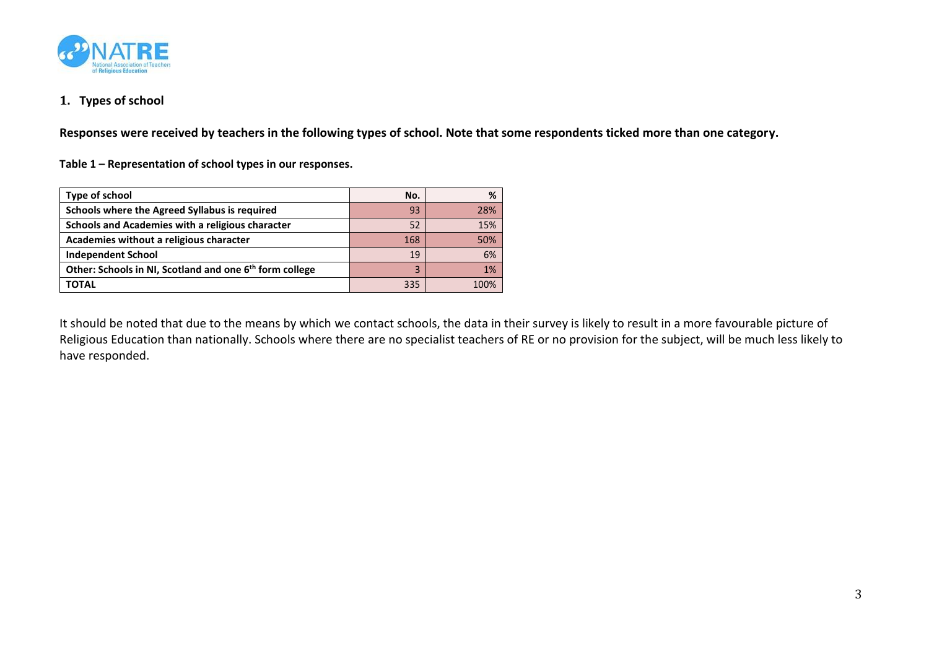

# **1. Types of school**

**Responses were received by teachers in the following types of school. Note that some respondents ticked more than one category.**

**Table 1 – Representation of school types in our responses.**

| Type of school                                                      | No. | %    |
|---------------------------------------------------------------------|-----|------|
| Schools where the Agreed Syllabus is required                       | 93  | 28%  |
| Schools and Academies with a religious character                    | 52  | 15%  |
| Academies without a religious character                             | 168 | 50%  |
| <b>Independent School</b>                                           | 19  | 6%   |
| Other: Schools in NI, Scotland and one 6 <sup>th</sup> form college |     | 1%   |
| <b>TOTAL</b>                                                        | 335 | 100% |

It should be noted that due to the means by which we contact schools, the data in their survey is likely to result in a more favourable picture of Religious Education than nationally. Schools where there are no specialist teachers of RE or no provision for the subject, will be much less likely to have responded.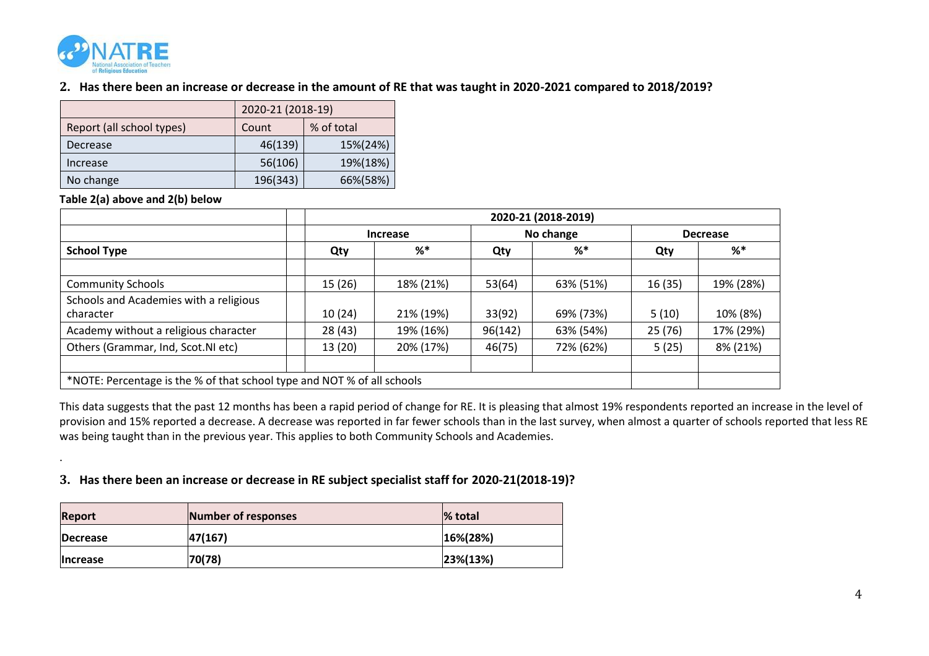

# **2. Has there been an increase or decrease in the amount of RE that was taught in 2020-2021 compared to 2018/2019?**

|                           | 2020-21 (2018-19) |            |  |
|---------------------------|-------------------|------------|--|
| Report (all school types) | Count             | % of total |  |
| Decrease                  | 46(139)           | 15%(24%)   |  |
| Increase                  | 56(106)           | 19%(18%)   |  |
| No change                 | 196(343)          | 66%(58%)   |  |

**Table 2(a) above and 2(b) below**

.

|                                                                         |         | 2020-21 (2018-2019) |         |           |        |                 |
|-------------------------------------------------------------------------|---------|---------------------|---------|-----------|--------|-----------------|
|                                                                         |         | Increase            |         | No change |        | <b>Decrease</b> |
| <b>School Type</b>                                                      | Qty     | %                   | Qty     | %         | Qty    | %               |
|                                                                         |         |                     |         |           |        |                 |
| <b>Community Schools</b>                                                | 15 (26) | 18% (21%)           | 53(64)  | 63% (51%) | 16(35) | 19% (28%)       |
| Schools and Academies with a religious                                  |         |                     |         |           |        |                 |
| character                                                               | 10(24)  | 21% (19%)           | 33(92)  | 69% (73%) | 5(10)  | 10% (8%)        |
| Academy without a religious character                                   | 28 (43) | 19% (16%)           | 96(142) | 63% (54%) | 25(76) | 17% (29%)       |
| Others (Grammar, Ind, Scot.NI etc)                                      | 13 (20) | 20% (17%)           | 46(75)  | 72% (62%) | 5(25)  | 8% (21%)        |
|                                                                         |         |                     |         |           |        |                 |
| *NOTE: Percentage is the % of that school type and NOT % of all schools |         |                     |         |           |        |                 |

This data suggests that the past 12 months has been a rapid period of change for RE. It is pleasing that almost 19% respondents reported an increase in the level of provision and 15% reported a decrease. A decrease was reported in far fewer schools than in the last survey, when almost a quarter of schools reported that less RE was being taught than in the previous year. This applies to both Community Schools and Academies.

## **3. Has there been an increase or decrease in RE subject specialist staff for 2020-21(2018-19)?**

| <b>Report</b>   | Number of responses | % total        |
|-----------------|---------------------|----------------|
| <b>Decrease</b> | 47(167)             | $16\% (28\%)$  |
| <b>Increase</b> | 70(78)              | $ 23\% (13\%)$ |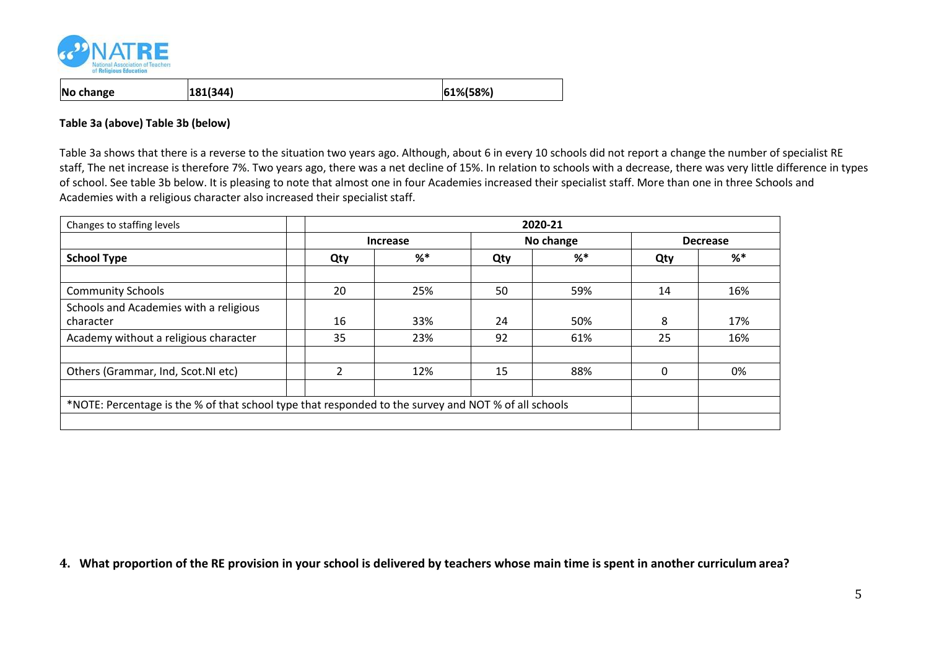

| No change<br>$ 61\% 58\% $<br> 181(344) |
|-----------------------------------------|
|-----------------------------------------|

#### **Table 3a (above) Table 3b (below)**

Table 3a shows that there is a reverse to the situation two years ago. Although, about 6 in every 10 schools did not report a change the number of specialist RE staff, The net increase is therefore 7%. Two years ago, there was a net decline of 15%. In relation to schools with a decrease, there was very little difference in types of school. See table 3b below. It is pleasing to note that almost one in four Academies increased their specialist staff. More than one in three Schools and Academies with a religious character also increased their specialist staff.

| Changes to staffing levels                                                                           | 2020-21         |       |           |     |                 |     |
|------------------------------------------------------------------------------------------------------|-----------------|-------|-----------|-----|-----------------|-----|
|                                                                                                      | <b>Increase</b> |       | No change |     | <b>Decrease</b> |     |
| <b>School Type</b>                                                                                   | Qty             | $%$ * | Qty       | %*  | Qty             | %*  |
|                                                                                                      |                 |       |           |     |                 |     |
| <b>Community Schools</b>                                                                             | 20              | 25%   | 50        | 59% | 14              | 16% |
| Schools and Academies with a religious<br>character                                                  | 16              | 33%   | 24        | 50% | 8               | 17% |
| Academy without a religious character                                                                | 35              | 23%   | 92        | 61% | 25              | 16% |
|                                                                                                      |                 |       |           |     |                 |     |
| Others (Grammar, Ind, Scot.NI etc)                                                                   |                 | 12%   | 15        | 88% | 0               | 0%  |
|                                                                                                      |                 |       |           |     |                 |     |
| *NOTE: Percentage is the % of that school type that responded to the survey and NOT % of all schools |                 |       |           |     |                 |     |
|                                                                                                      |                 |       |           |     |                 |     |

**4. What proportion of the RE provision in your school is delivered by teachers whose main time is spent in another curriculum area?**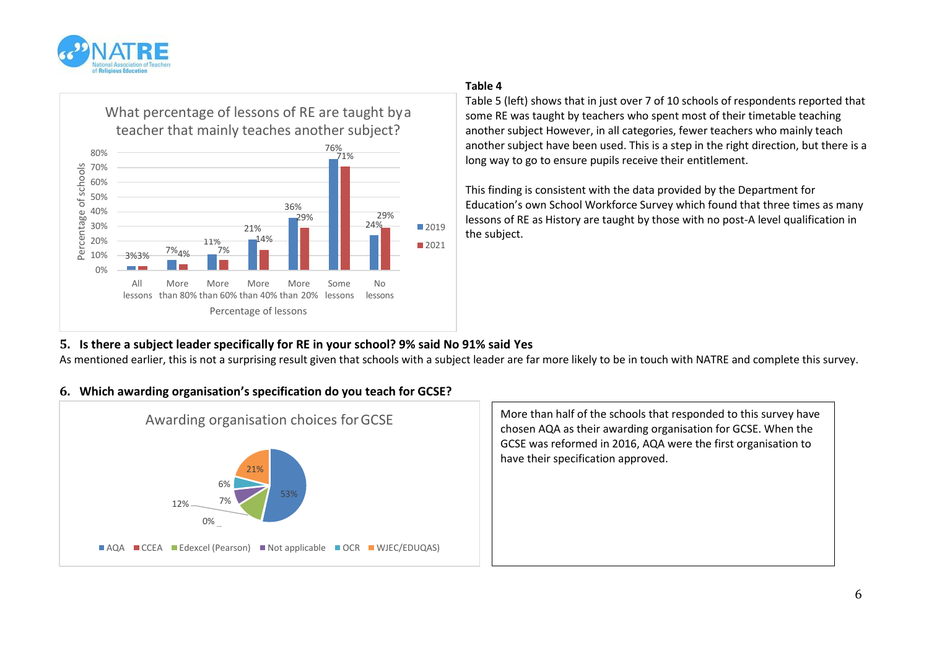



#### **Table 4**

Table 5 (left) shows that in just over 7 of 10 schools of respondents reported that some RE was taught by teachers who spent most of their timetable teaching another subject However, in all categories, fewer teachers who mainly teach another subject have been used. This is a step in the right direction, but there is a long way to go to ensure pupils receive their entitlement.

This finding is consistent with the data provided by the Department for Education's own School Workforce Survey which found that three times as many lessons of RE as History are taught by those with no post-A level qualification in the subject.

# **5. Is there a subject leader specifically for RE in your school? 9% said No 91% said Yes**

As mentioned earlier, this is not a surprising result given that schools with a subject leader are far more likely to be in touch with NATRE and complete this survey.

## **6. Which awarding organisation's specification do you teach for GCSE?**



Awarding organisation choices for GCSE More than half of the schools that responded to this survey have chosen AQA as their awarding organisation for GCSE. When the GCSE was reformed in 2016, AQA were the first organisation to have their specification approved.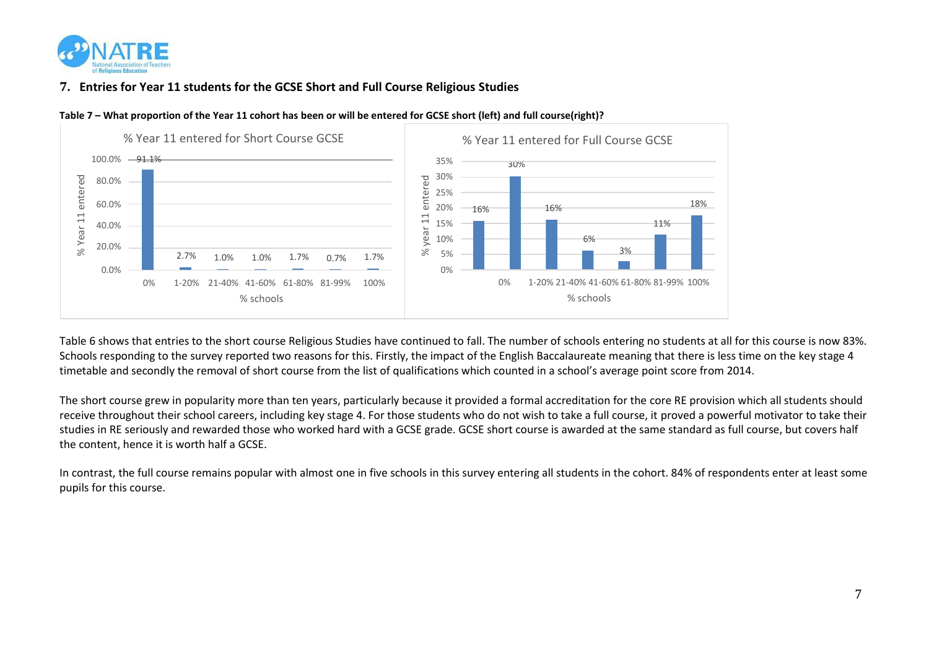

# **7. Entries for Year 11 students for the GCSE Short and Full Course Religious Studies**



**Table 7 – What proportion of the Year 11 cohort has been or will be entered for GCSE short (left) and full course(right)?**

Table 6 shows that entries to the short course Religious Studies have continued to fall. The number of schools entering no students at all for this course is now 83%. Schools responding to the survey reported two reasons for this. Firstly, the impact of the English Baccalaureate meaning that there is less time on the key stage 4 timetable and secondly the removal of short course from the list of qualifications which counted in a school's average point score from 2014.

The short course grew in popularity more than ten years, particularly because it provided a formal accreditation for the core RE provision which all students should receive throughout their school careers, including key stage 4. For those students who do not wish to take a full course, it proved a powerful motivator to take their studies in RE seriously and rewarded those who worked hard with a GCSE grade. GCSE short course is awarded at the same standard as full course, but covers half the content, hence it is worth half a GCSE.

In contrast, the full course remains popular with almost one in five schools in this survey entering all students in the cohort. 84% of respondents enter at least some pupils for this course.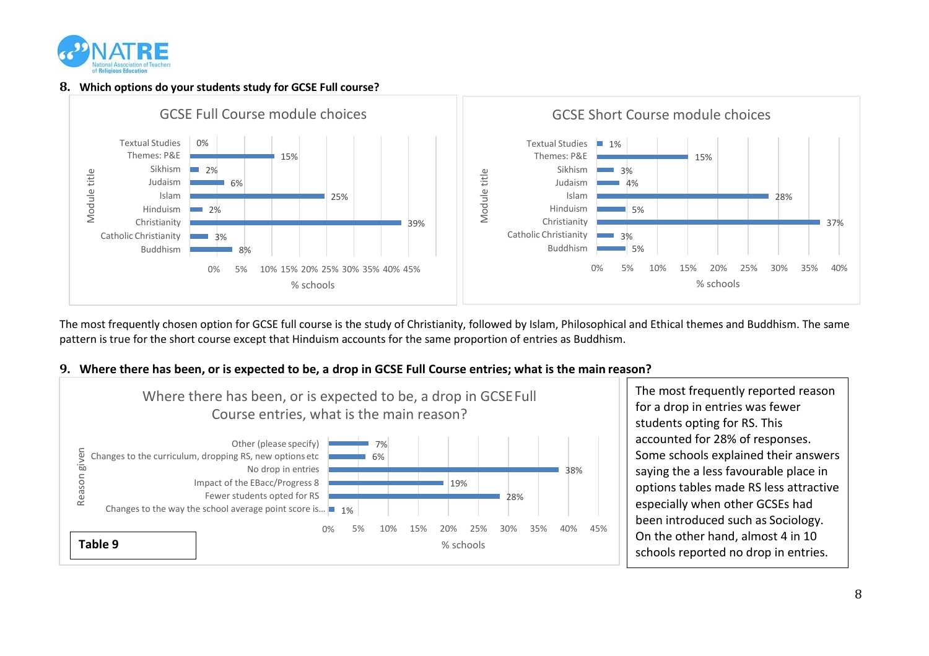

#### **8. Which options do your students study for GCSE Full course?**



The most frequently chosen option for GCSE full course is the study of Christianity, followed by Islam, Philosophical and Ethical themes and Buddhism. The same pattern is true for the short course except that Hinduism accounts for the same proportion of entries as Buddhism.



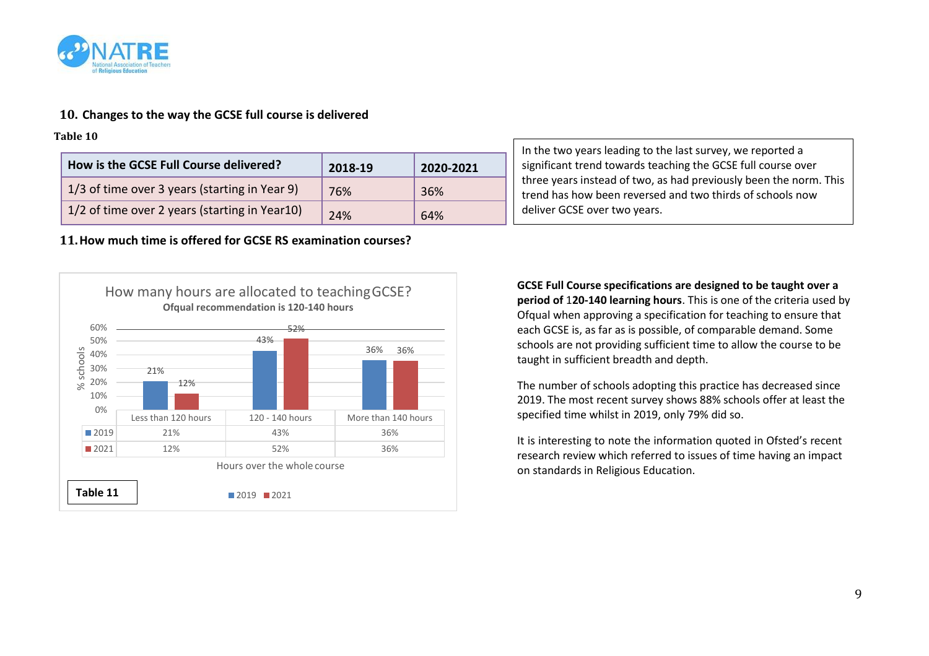

# **10. Changes to the way the GCSE full course is delivered**

**Table 10**

| How is the GCSE Full Course delivered?        | 2018-19 | 2020-2021 |
|-----------------------------------------------|---------|-----------|
| 1/3 of time over 3 years (starting in Year 9) | 76%     | 36%       |
| 1/2 of time over 2 years (starting in Year10) | 24%     | 64%       |

**11.How much time is offered for GCSE RS examination courses?**



In the two years leading to the last survey, we reported a significant trend towards teaching the GCSE full course over three years instead of two, as had previously been the norm. This trend has how been reversed and two thirds of schools now deliver GCSE over two years.

**GCSE Full Course specifications are designed to be taught over a period of** 1**20-140 learning hours**. This is one of the criteria used by Ofqual when approving a specification for teaching to ensure that each GCSE is, as far as is possible, of comparable demand. Some schools are not providing sufficient time to allow the course to be taught in sufficient breadth and depth.

The number of schools adopting this practice has decreased since 2019. The most recent survey shows 88% schools offer at least the specified time whilst in 2019, only 79% did so.

It is interesting to note the information quoted in Ofsted's recent research review which referred to issues of time having an impact on standards in Religious Education.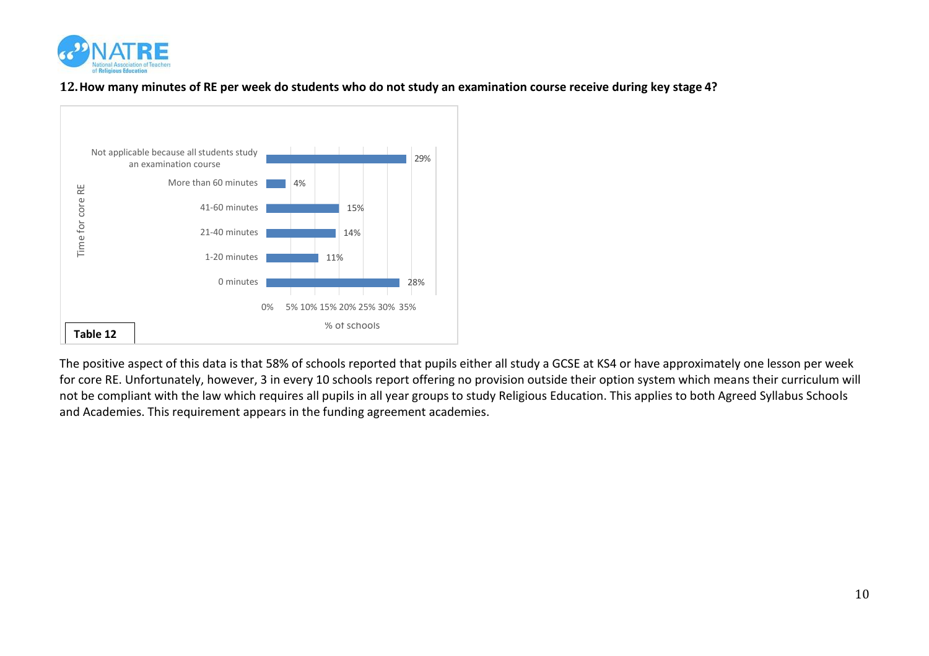

**12.How many minutes of RE per week do students who do not study an examination course receive during key stage 4?**



The positive aspect of this data is that 58% of schools reported that pupils either all study a GCSE at KS4 or have approximately one lesson per week for core RE. Unfortunately, however, 3 in every 10 schools report offering no provision outside their option system which means their curriculum will not be compliant with the law which requires all pupils in all year groups to study Religious Education. This applies to both Agreed Syllabus Schools and Academies. This requirement appears in the funding agreement academies.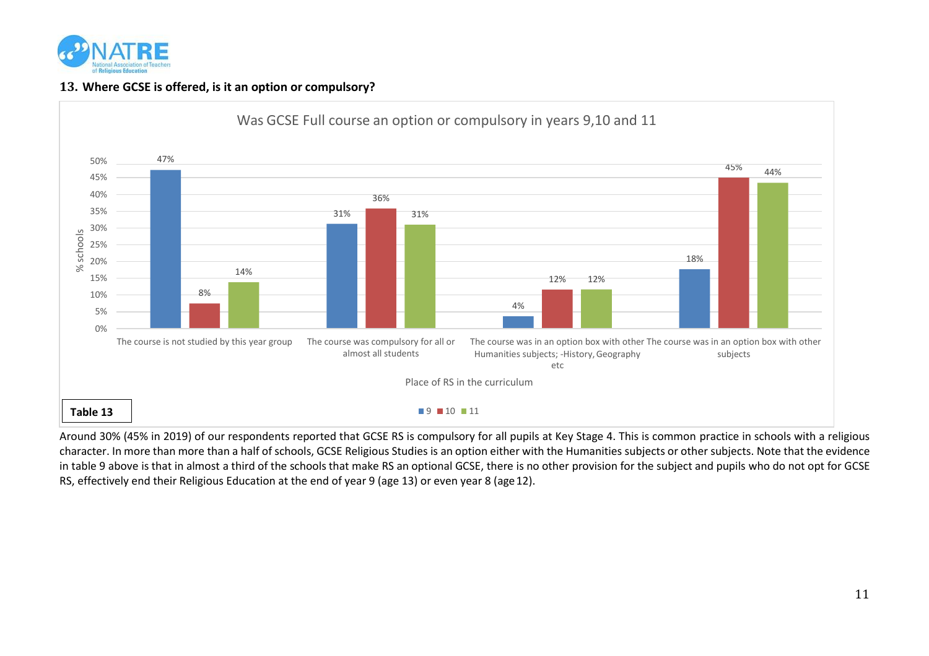

# **13. Where GCSE is offered, is it an option or compulsory?**



Around 30% (45% in 2019) of our respondents reported that GCSE RS is compulsory for all pupils at Key Stage 4. This is common practice in schools with a religious character. In more than more than a half of schools, GCSE Religious Studies is an option either with the Humanities subjects or other subjects. Note that the evidence in table 9 above is that in almost a third of the schools that make RS an optional GCSE, there is no other provision for the subject and pupils who do not opt for GCSE RS, effectively end their Religious Education at the end of year 9 (age 13) or even year 8 (age12).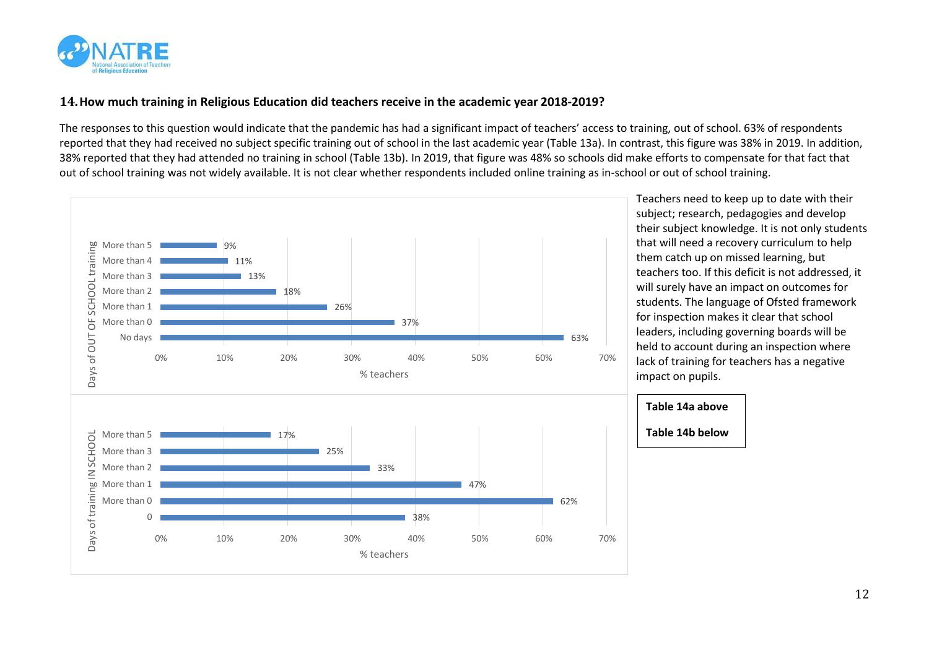

# **14.How much training in Religious Education did teachers receive in the academic year 2018-2019?**

The responses to this question would indicate that the pandemic has had a significant impact of teachers' access to training, out of school. 63% of respondents reported that they had received no subject specific training out of school in the last academic year (Table 13a). In contrast, this figure was 38% in 2019. In addition, 38% reported that they had attended no training in school (Table 13b). In 2019, that figure was 48% so schools did make efforts to compensate for that fact that out of school training was not widely available. It is not clear whether respondents included online training as in-school or out of school training.



Teachers need to keep up to date with their subject; research, pedagogies and develop their subject knowledge. It is not only students that will need a recovery curriculum to help them catch up on missed learning, but teachers too. If this deficit is not addressed, it will surely have an impact on outcomes for students. The language of Ofsted framework for inspection makes it clear that school leaders, including governing boards will be held to account during an inspection where lack of training for teachers has a negative impact on pupils.

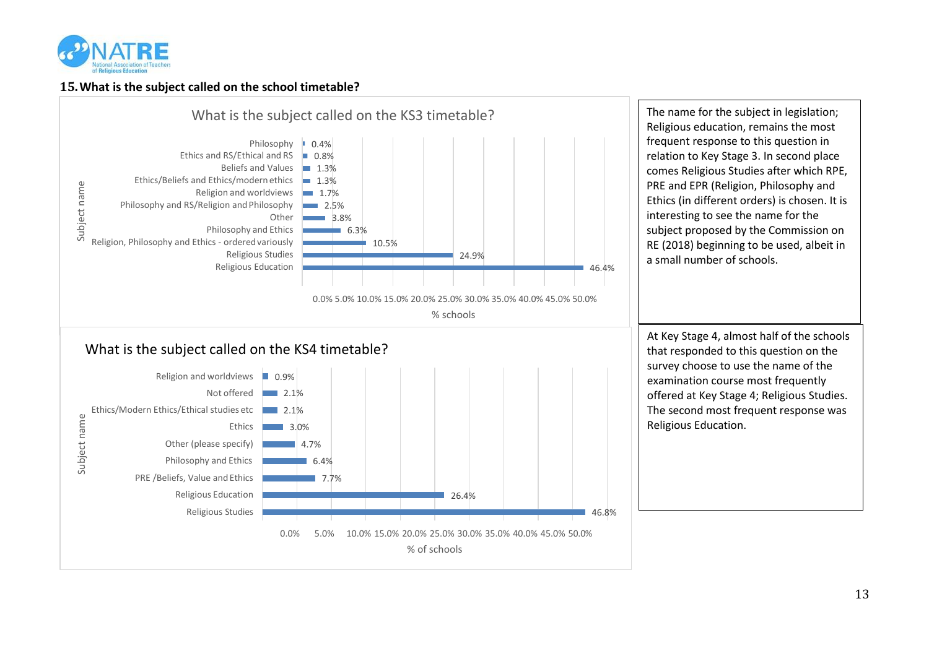

## **15.What is the subject called on the school timetable?**

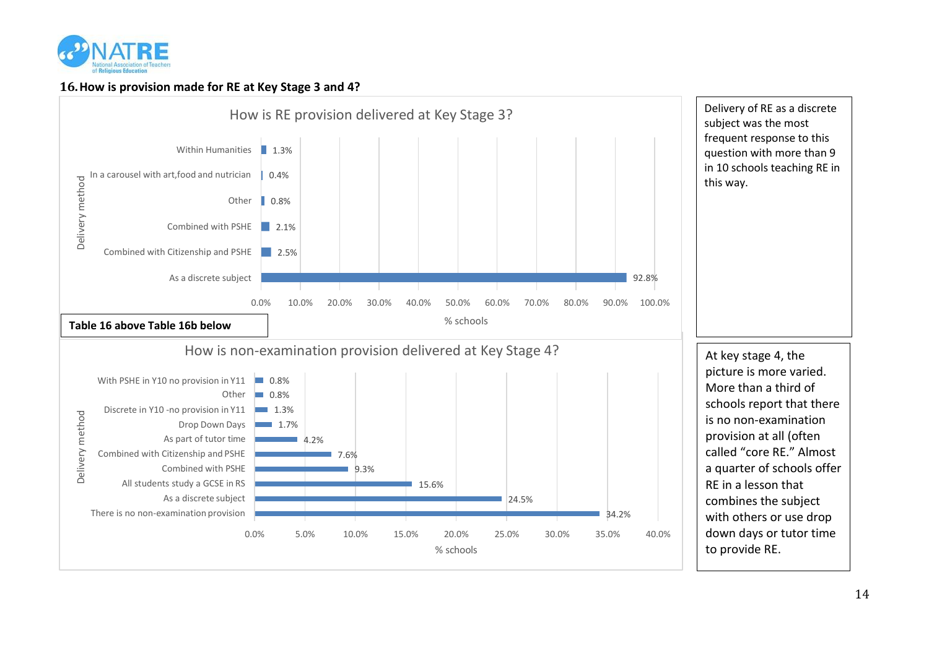

### **16.How is provision made for RE at Key Stage 3 and 4?**

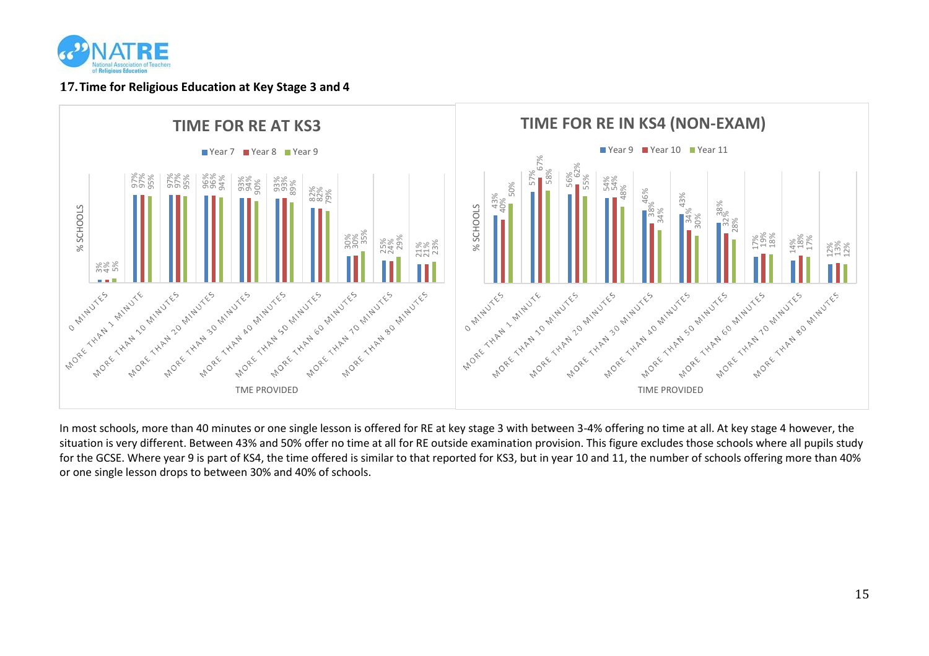

#### **17.Time for Religious Education at Key Stage 3 and 4**



In most schools, more than 40 minutes or one single lesson is offered for RE at key stage 3 with between 3-4% offering no time at all. At key stage 4 however, the situation is very different. Between 43% and 50% offer no time at all for RE outside examination provision. This figure excludes those schools where all pupils study for the GCSE. Where year 9 is part of KS4, the time offered is similar to that reported for KS3, but in year 10 and 11, the number of schools offering more than 40% or one single lesson drops to between 30% and 40% of schools.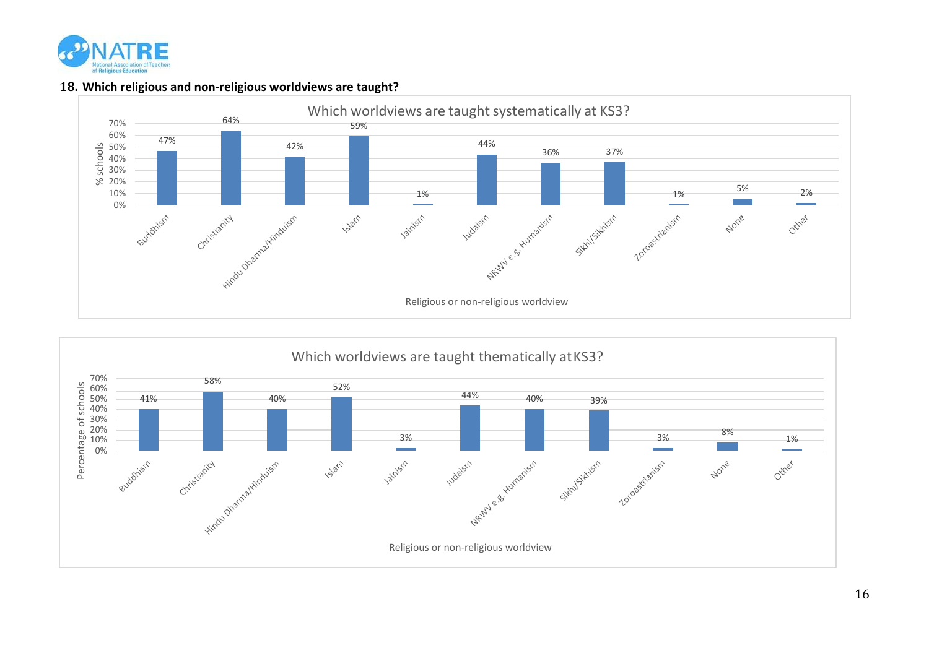

## **18. Which religious and non-religious worldviews are taught?**



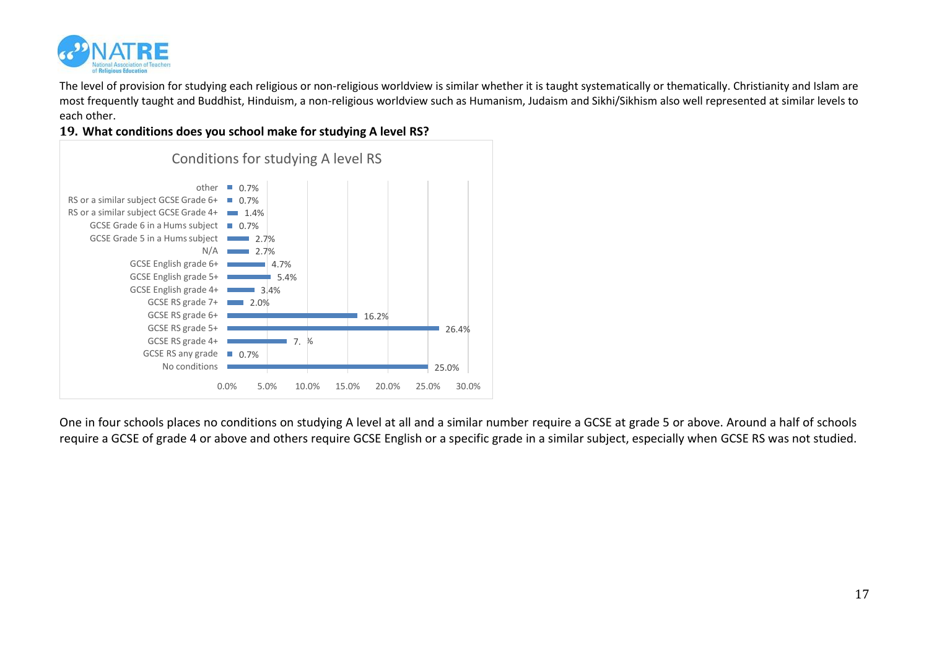

The level of provision for studying each religious or non-religious worldview is similar whether it is taught systematically or thematically. Christianity and Islam are most frequently taught and Buddhist, Hinduism, a non-religious worldview such as Humanism, Judaism and Sikhi/Sikhism also well represented at similar levels to each other.

#### **19. What conditions does you school make for studying A level RS?**



One in four schools places no conditions on studying A level at all and a similar number require a GCSE at grade 5 or above. Around a half of schools require a GCSE of grade 4 or above and others require GCSE English or a specific grade in a similar subject, especially when GCSE RS was not studied.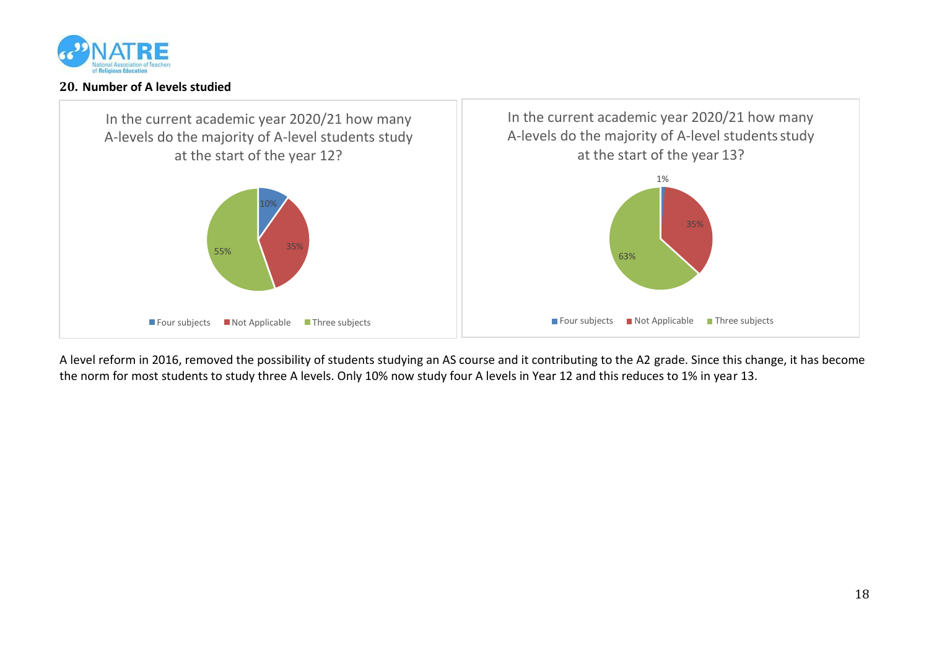

### **20. Number of A levels studied**



A level reform in 2016, removed the possibility of students studying an AS course and it contributing to the A2 grade. Since this change, it has become the norm for most students to study three A levels. Only 10% now study four A levels in Year 12 and this reduces to 1% in year 13.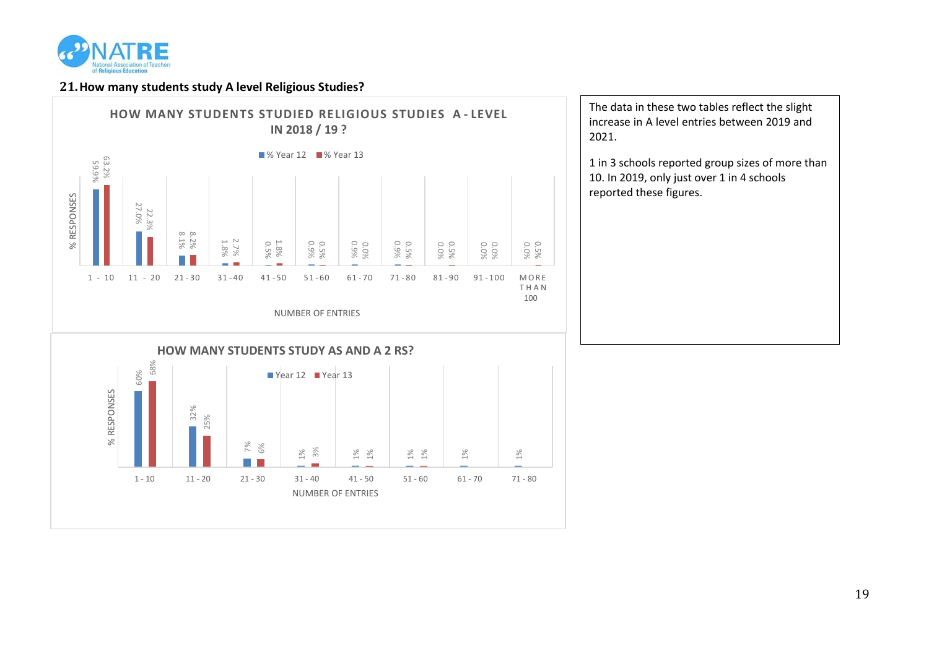

#### **21.How many students study A level Religious Studies?**



The data in these two tables reflect the slight increase in A level entries between 2019 and 2021.

1 in 3 schools reported group sizes of more than 10. In 2019, only just over 1 in 4 schools reported these figures.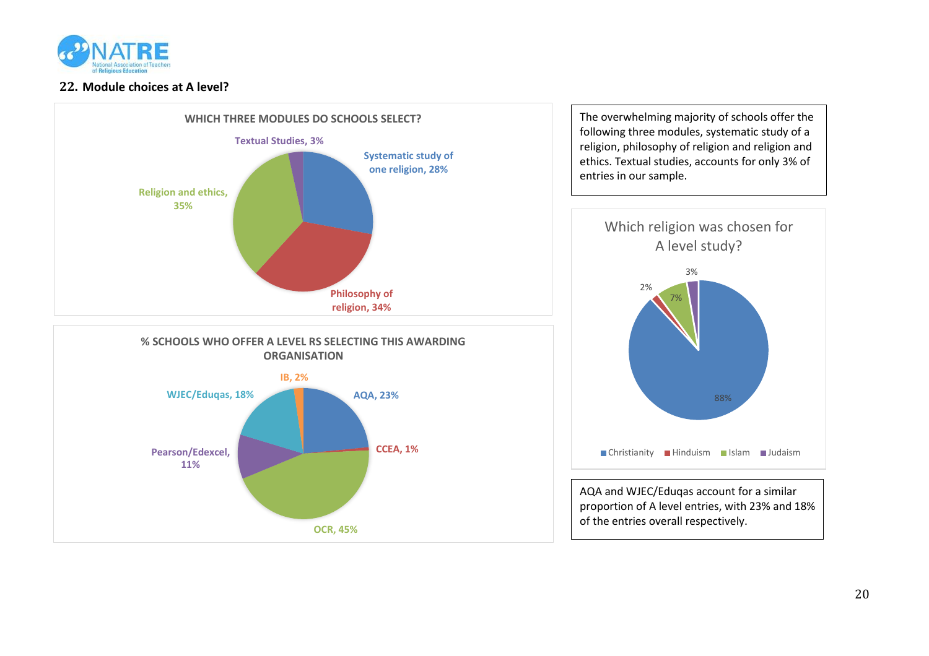

## **22. Module choices at A level?**

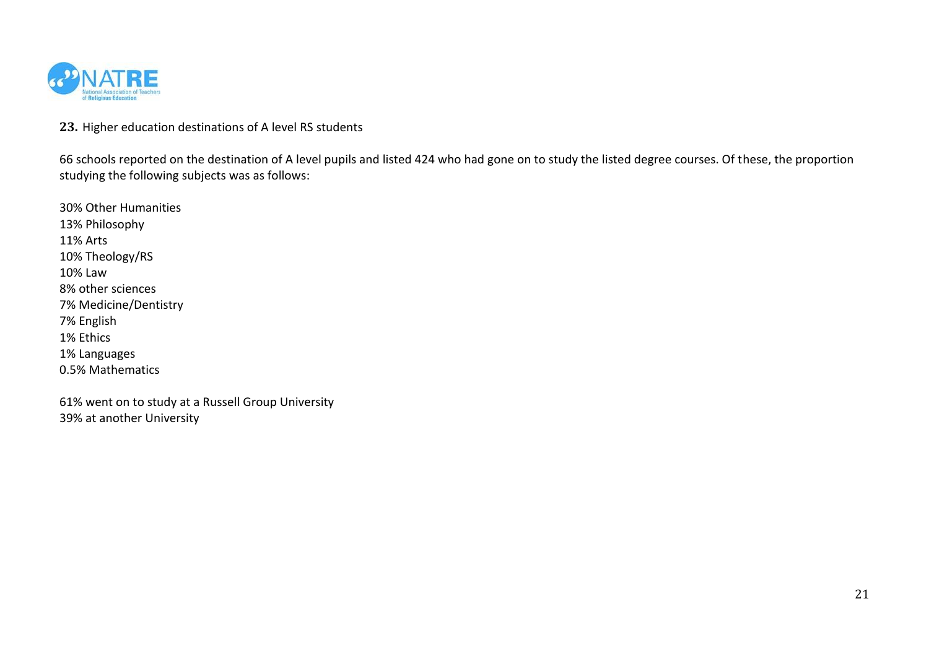

**23.** Higher education destinations of A level RS students

66 schools reported on the destination of A level pupils and listed 424 who had gone on to study the listed degree courses. Of these, the proportion studying the following subjects was as follows:

30% Other Humanities 13% Philosophy 11% Arts 10% Theology/RS 10% Law 8% other sciences 7% Medicine/Dentistry 7% English 1% Ethics 1% Languages 0.5% Mathematics

61% went on to study at a Russell Group University 39% at another University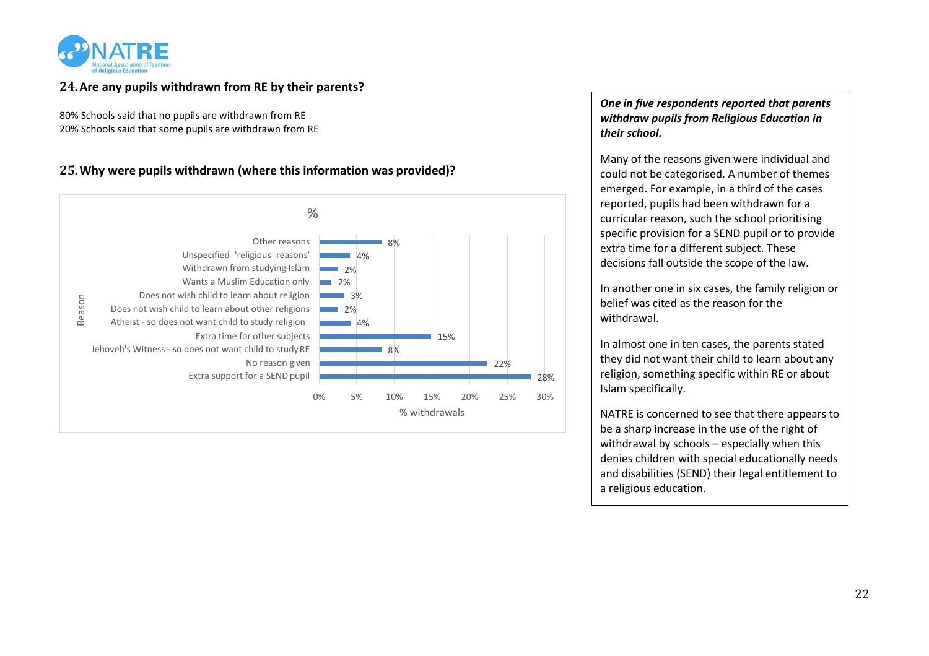

# **24.Are any pupils withdrawn from RE by their parents?**

80% Schools said that no pupils are withdrawn from RE 20% Schools said that some pupils are withdrawn from RE

## **25.Why were pupils withdrawn (where this information was provided)?**



### *One in five respondents reported that parents withdraw pupils from Religious Education in their school.*

Many of the reasons given were individual and could not be categorised. A number of themes emerged. For example, in a third of the cases reported, pupils had been withdrawn for a curricular reason, such the school prioritising specific provision for a SEND pupil or to provide extra time for a different subject. These decisions fall outside the scope of the law.

In another one in six cases, the family religion or belief was cited as the reason for the withdrawal.

In almost one in ten cases, the parents stated they did not want their child to learn about any religion, something specific within RE or about Islam specifically.

NATRE is concerned to see that there appears to be a sharp increase in the use of the right of withdrawal by schools – especially when this denies children with special educationally needs and disabilities (SEND) their legal entitlement to a religious education.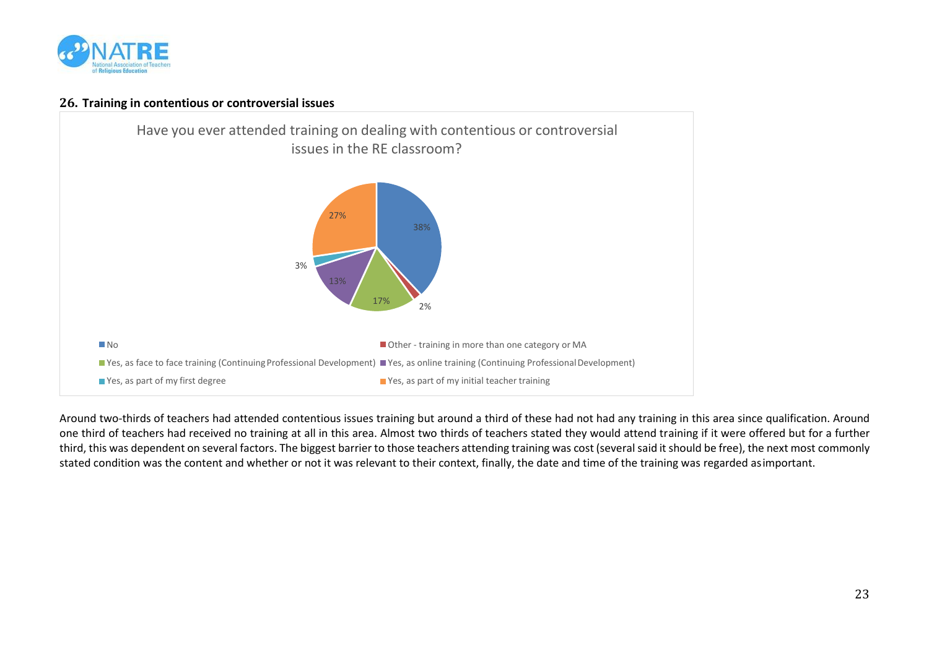

#### **26. Training in contentious or controversial issues**



Around two-thirds of teachers had attended contentious issues training but around a third of these had not had any training in this area since qualification. Around one third of teachers had received no training at all in this area. Almost two thirds of teachers stated they would attend training if it were offered but for a further third, this was dependent on several factors. The biggest barrier to those teachers attending training was cost (several said it should be free), the next most commonly stated condition was the content and whether or not it was relevant to their context, finally, the date and time of the training was regarded asimportant.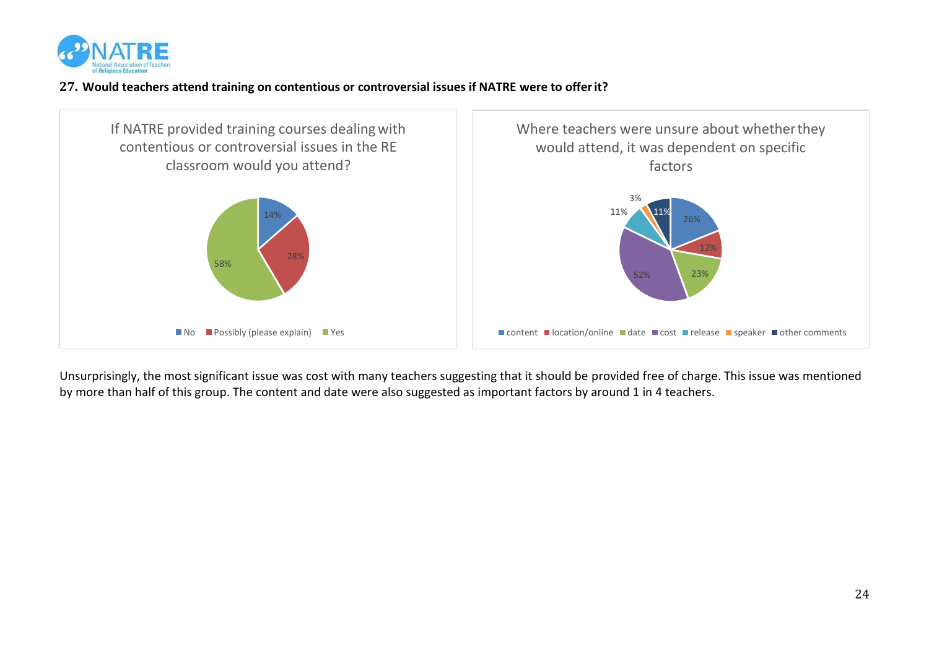

# **27. Would teachers attend training on contentious or controversial issues if NATRE were to offerit?**



Unsurprisingly, the most significant issue was cost with many teachers suggesting that it should be provided free of charge. This issue was mentioned by more than half of this group. The content and date were also suggested as important factors by around 1 in 4 teachers.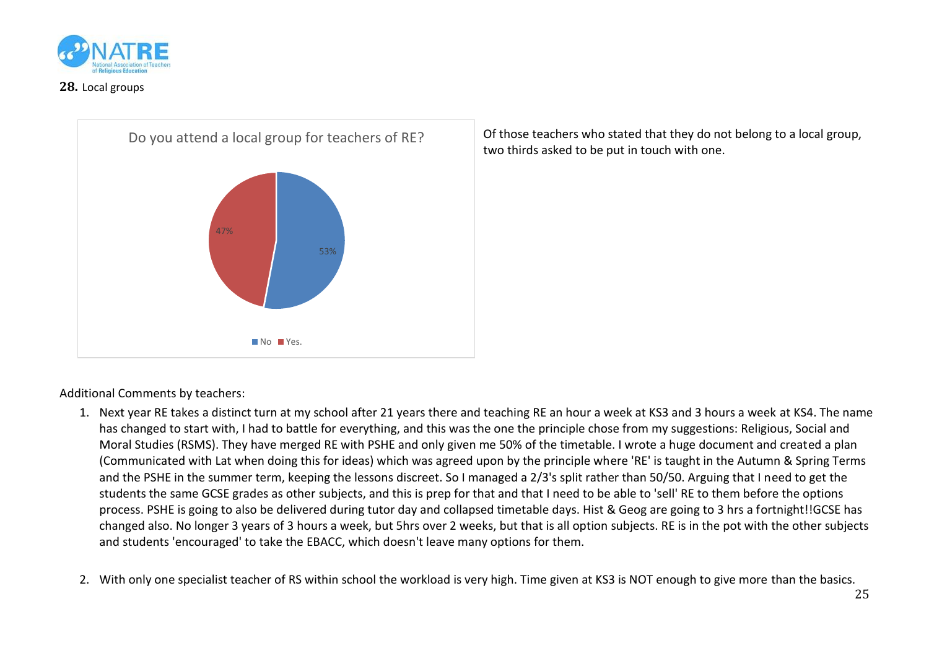

### **28.** Local groups



Of those teachers who stated that they do not belong to a local group, two thirds asked to be put in touch with one.

Additional Comments by teachers:

- 1. Next year RE takes a distinct turn at my school after 21 years there and teaching RE an hour a week at KS3 and 3 hours a week at KS4. The name has changed to start with, I had to battle for everything, and this was the one the principle chose from my suggestions: Religious, Social and Moral Studies (RSMS). They have merged RE with PSHE and only given me 50% of the timetable. I wrote a huge document and created a plan (Communicated with Lat when doing this for ideas) which was agreed upon by the principle where 'RE' is taught in the Autumn & Spring Terms and the PSHE in the summer term, keeping the lessons discreet. So I managed a 2/3's split rather than 50/50. Arguing that I need to get the students the same GCSE grades as other subjects, and this is prep for that and that I need to be able to 'sell' RE to them before the options process. PSHE is going to also be delivered during tutor day and collapsed timetable days. Hist & Geog are going to 3 hrs a fortnight!!GCSE has changed also. No longer 3 years of 3 hours a week, but 5hrs over 2 weeks, but that is all option subjects. RE is in the pot with the other subjects and students 'encouraged' to take the EBACC, which doesn't leave many options for them.
- 2. With only one specialist teacher of RS within school the workload is very high. Time given at KS3 is NOT enough to give more than the basics.